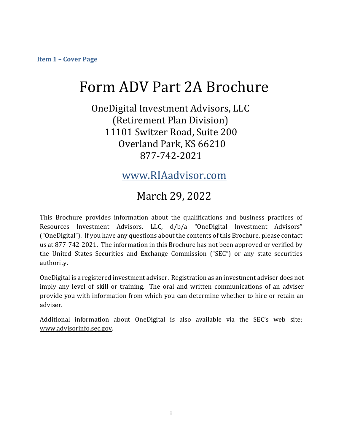<span id="page-0-0"></span>**Item 1 – Cover Page**

# Form ADV Part 2A Brochure

OneDigital Investment Advisors, LLC (Retirement Plan Division) 11101 Switzer Road, Suite 200 Overland Park, KS 66210 877-742-2021

www.RIAadvisor.com

# March 29, 2022

This Brochure provides information about the qualifications and business practices of Resources Investment Advisors, LLC, d/b/a "OneDigital Investment Advisors" ("OneDigital"). If you have any questions about the contents of this Brochure, please contact us at 877-742-2021. The information in this Brochure has not been approved or verified by the United States Securities and Exchange Commission ("SEC") or any state securities authority.

OneDigital is a registered investment adviser. Registration as an investment adviser does not imply any level of skill or training. The oral and written communications of an adviser provide you with information from which you can determine whether to hire or retain an adviser.

Additional information about OneDigital is also available via the SEC's web site: [www.advisorinfo.sec.gov.](http://www.adviserinfo.sec.gov/)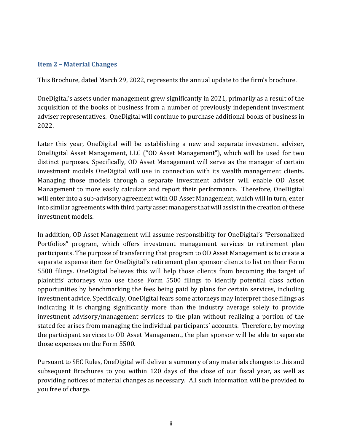#### <span id="page-1-0"></span>**Item 2 – Material Changes**

This Brochure, dated March 29, 2022, represents the annual update to the firm's brochure.

OneDigital's assets under management grew significantly in 2021, primarily as a result of the acquisition of the books of business from a number of previously independent investment adviser representatives. OneDigital will continue to purchase additional books of business in 2022.

Later this year, OneDigital will be establishing a new and separate investment adviser, OneDigital Asset Management, LLC ("OD Asset Management"), which will be used for two distinct purposes. Specifically, OD Asset Management will serve as the manager of certain investment models OneDigital will use in connection with its wealth management clients. Managing those models through a separate investment adviser will enable OD Asset Management to more easily calculate and report their performance. Therefore, OneDigital will enter into a sub-advisory agreement with OD Asset Management, which will in turn, enter into similar agreements with third party asset managers that will assist in the creation of these investment models.

In addition, OD Asset Management will assume responsibility for OneDigital's "Personalized Portfolios" program, which offers investment management services to retirement plan participants. The purpose of transferring that program to OD Asset Management is to create a separate expense item for OneDigital's retirement plan sponsor clients to list on their Form 5500 filings. OneDigital believes this will help those clients from becoming the target of plaintiffs' attorneys who use those Form 5500 filings to identify potential class action opportunities by benchmarking the fees being paid by plans for certain services, including investment advice. Specifically, OneDigital fears some attorneys may interpret those filings as indicating it is charging significantly more than the industry average solely to provide investment advisory/management services to the plan without realizing a portion of the stated fee arises from managing the individual participants' accounts. Therefore, by moving the participant services to OD Asset Management, the plan sponsor will be able to separate those expenses on the Form 5500.

Pursuant to SEC Rules, OneDigital will deliver a summary of any materials changes to this and subsequent Brochures to you within 120 days of the close of our fiscal year, as well as providing notices of material changes as necessary. All such information will be provided to you free of charge.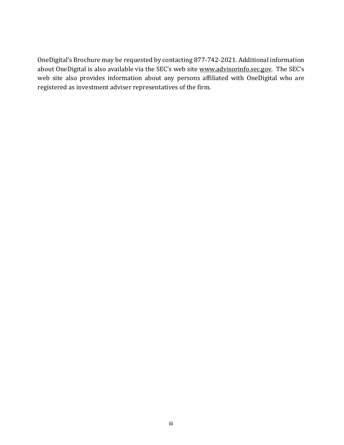OneDigital's Brochure may be requested by contacting 877-742-2021. Additional information about OneDigital is also available via the SEC's web site [www.advisorinfo.sec.gov.](http://www.adviserinfo.sec.gov/) The SEC's web site also provides information about any persons affiliated with OneDigital who are registered as investment adviser representatives of the firm.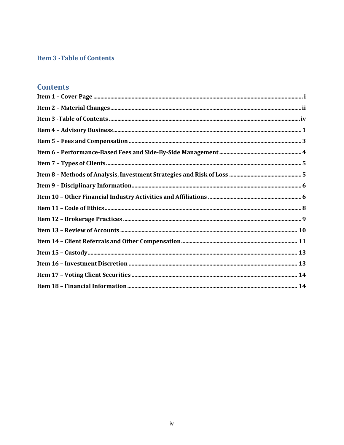# <span id="page-3-0"></span>**Item 3 - Table of Contents**

# **Contents**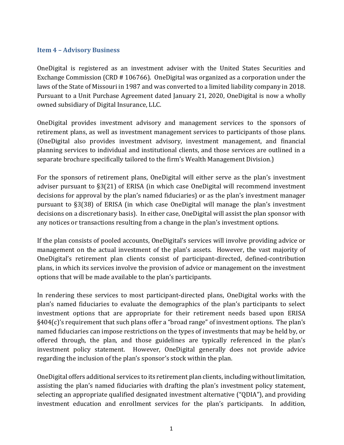#### <span id="page-4-0"></span>**Item 4 – Advisory Business**

OneDigital is registered as an investment adviser with the United States Securities and Exchange Commission (CRD # 106766). OneDigital was organized as a corporation under the laws of the State of Missouri in 1987 and was converted to a limited liability company in 2018. Pursuant to a Unit Purchase Agreement dated January 21, 2020, OneDigital is now a wholly owned subsidiary of Digital Insurance, LLC.

OneDigital provides investment advisory and management services to the sponsors of retirement plans, as well as investment management services to participants of those plans. (OneDigital also provides investment advisory, investment management, and financial planning services to individual and institutional clients, and those services are outlined in a separate brochure specifically tailored to the firm's Wealth Management Division.)

For the sponsors of retirement plans, OneDigital will either serve as the plan's investment adviser pursuant to §3(21) of ERISA (in which case OneDigital will recommend investment decisions for approval by the plan's named fiduciaries) or as the plan's investment manager pursuant to §3(38) of ERISA (in which case OneDigital will manage the plan's investment decisions on a discretionary basis). In either case, OneDigital will assist the plan sponsor with any notices or transactions resulting from a change in the plan's investment options.

If the plan consists of pooled accounts, OneDigital's services will involve providing advice or management on the actual investment of the plan's assets. However, the vast majority of OneDigital's retirement plan clients consist of participant-directed, defined-contribution plans, in which its services involve the provision of advice or management on the investment options that will be made available to the plan's participants.

In rendering these services to most participant-directed plans, OneDigital works with the plan's named fiduciaries to evaluate the demographics of the plan's participants to select investment options that are appropriate for their retirement needs based upon ERISA §404(c)'s requirement that such plans offer a "broad range" of investment options. The plan's named fiduciaries can impose restrictions on the types of investments that may be held by, or offered through, the plan, and those guidelines are typically referenced in the plan's investment policy statement. However, OneDigital generally does not provide advice regarding the inclusion of the plan's sponsor's stock within the plan.

OneDigital offers additional services to its retirement plan clients, including without limitation, assisting the plan's named fiduciaries with drafting the plan's investment policy statement, selecting an appropriate qualified designated investment alternative ("QDIA"), and providing investment education and enrollment services for the plan's participants. In addition,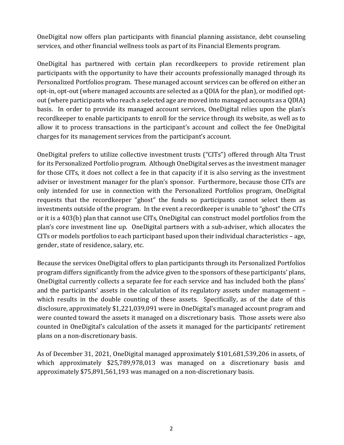OneDigital now offers plan participants with financial planning assistance, debt counseling services, and other financial wellness tools as part of its Financial Elements program.

OneDigital has partnered with certain plan recordkeepers to provide retirement plan participants with the opportunity to have their accounts professionally managed through its Personalized Portfolios program. These managed account services can be offered on either an opt-in, opt-out (where managed accounts are selected as a QDIA for the plan), or modified optout (where participants who reach a selected age are moved into managed accounts as a QDIA) basis. In order to provide its managed account services, OneDigital relies upon the plan's recordkeeper to enable participants to enroll for the service through its website, as well as to allow it to process transactions in the participant's account and collect the fee OneDigital charges for its management services from the participant's account.

OneDigital prefers to utilize collective investment trusts ("CITs") offered through Alta Trust for its Personalized Portfolio program. Although OneDigital serves as the investment manager for those CITs, it does not collect a fee in that capacity if it is also serving as the investment adviser or investment manager for the plan's sponsor. Furthermore, because those CITs are only intended for use in connection with the Personalized Portfolios program, OneDigital requests that the recordkeeper "ghost" the funds so participants cannot select them as investments outside of the program. In the event a recordkeeper is unable to "ghost" the CITs or it is a 403(b) plan that cannot use CITs, OneDigital can construct model portfolios from the plan's core investment line up. OneDigital partners with a sub-adviser, which allocates the CITs or models portfolios to each participant based upon their individual characteristics – age, gender, state of residence, salary, etc.

Because the services OneDigital offers to plan participants through its Personalized Portfolios program differs significantly from the advice given to the sponsors of these participants' plans, OneDigital currently collects a separate fee for each service and has included both the plans' and the participants' assets in the calculation of its regulatory assets under management – which results in the double counting of these assets. Specifically, as of the date of this disclosure, approximately \$1,221,039,091 were in OneDigital's managed account program and were counted toward the assets it managed on a discretionary basis. Those assets were also counted in OneDigital's calculation of the assets it managed for the participants' retirement plans on a non-discretionary basis.

As of December 31, 2021, OneDigital managed approximately \$101,681,539,206 in assets, of which approximately \$25,789,978,013 was managed on a discretionary basis and approximately \$75,891,561,193 was managed on a non-discretionary basis.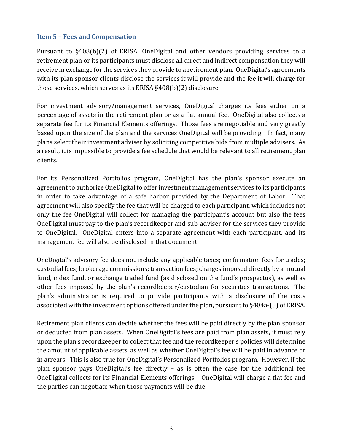#### <span id="page-6-0"></span>**Item 5 – Fees and Compensation**

Pursuant to §408(b)(2) of ERISA, OneDigital and other vendors providing services to a retirement plan or its participants must disclose all direct and indirect compensation they will receive in exchange for the services they provide to a retirement plan. OneDigital's agreements with its plan sponsor clients disclose the services it will provide and the fee it will charge for those services, which serves as its ERISA §408(b)(2) disclosure.

For investment advisory/management services, OneDigital charges its fees either on a percentage of assets in the retirement plan or as a flat annual fee. OneDigital also collects a separate fee for its Financial Elements offerings. Those fees are negotiable and vary greatly based upon the size of the plan and the services OneDigital will be providing. In fact, many plans select their investment adviser by soliciting competitive bids from multiple advisers. As a result, it is impossible to provide a fee schedule that would be relevant to all retirement plan clients.

For its Personalized Portfolios program, OneDigital has the plan's sponsor execute an agreement to authorize OneDigital to offer investment management services to its participants in order to take advantage of a safe harbor provided by the Department of Labor. That agreement will also specify the fee that will be charged to each participant, which includes not only the fee OneDigital will collect for managing the participant's account but also the fees OneDigital must pay to the plan's recordkeeper and sub-adviser for the services they provide to OneDigital. OneDigital enters into a separate agreement with each participant, and its management fee will also be disclosed in that document.

OneDigital's advisory fee does not include any applicable taxes; confirmation fees for trades; custodial fees; brokerage commissions; transaction fees; charges imposed directly by a mutual fund, index fund, or exchange traded fund (as disclosed on the fund's prospectus), as well as other fees imposed by the plan's recordkeeper/custodian for securities transactions. The plan's administrator is required to provide participants with a disclosure of the costs associated with the investment options offered under the plan, pursuant to §404a-(5) of ERISA.

Retirement plan clients can decide whether the fees will be paid directly by the plan sponsor or deducted from plan assets. When OneDigital's fees are paid from plan assets, it must rely upon the plan's recordkeeper to collect that fee and the recordkeeper's policies will determine the amount of applicable assets, as well as whether OneDigital's fee will be paid in advance or in arrears. This is also true for OneDigital's Personalized Portfolios program. However, if the plan sponsor pays OneDigital's fee directly – as is often the case for the additional fee OneDigital collects for its Financial Elements offerings – OneDigital will charge a flat fee and the parties can negotiate when those payments will be due.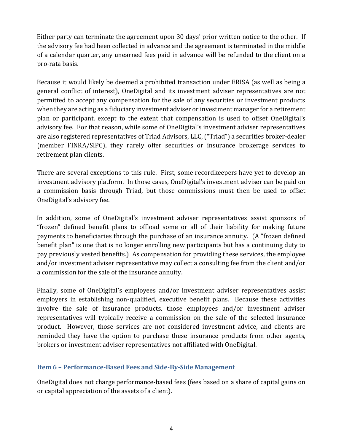Either party can terminate the agreement upon 30 days' prior written notice to the other. If the advisory fee had been collected in advance and the agreement is terminated in the middle of a calendar quarter, any unearned fees paid in advance will be refunded to the client on a pro-rata basis.

Because it would likely be deemed a prohibited transaction under ERISA (as well as being a general conflict of interest), OneDigital and its investment adviser representatives are not permitted to accept any compensation for the sale of any securities or investment products when they are acting as a fiduciary investment adviser or investment manager for a retirement plan or participant, except to the extent that compensation is used to offset OneDigital's advisory fee. For that reason, while some of OneDigital's investment adviser representatives are also registered representatives of Triad Advisors, LLC, ("Triad") a securities broker-dealer (member FINRA/SIPC), they rarely offer securities or insurance brokerage services to retirement plan clients.

There are several exceptions to this rule. First, some recordkeepers have yet to develop an investment advisory platform. In those cases, OneDigital's investment adviser can be paid on a commission basis through Triad, but those commissions must then be used to offset OneDigital's advisory fee.

In addition, some of OneDigital's investment adviser representatives assist sponsors of "frozen" defined benefit plans to offload some or all of their liability for making future payments to beneficiaries through the purchase of an insurance annuity. (A "frozen defined benefit plan" is one that is no longer enrolling new participants but has a continuing duty to pay previously vested benefits.) As compensation for providing these services, the employee and/or investment adviser representative may collect a consulting fee from the client and/or a commission for the sale of the insurance annuity.

Finally, some of OneDigital's employees and/or investment adviser representatives assist employers in establishing non-qualified, executive benefit plans. Because these activities involve the sale of insurance products, those employees and/or investment adviser representatives will typically receive a commission on the sale of the selected insurance product. However, those services are not considered investment advice, and clients are reminded they have the option to purchase these insurance products from other agents, brokers or investment adviser representatives not affiliated with OneDigital.

## <span id="page-7-0"></span>**Item 6 – Performance-Based Fees and Side-By-Side Management**

OneDigital does not charge performance‐based fees (fees based on a share of capital gains on or capital appreciation of the assets of a client).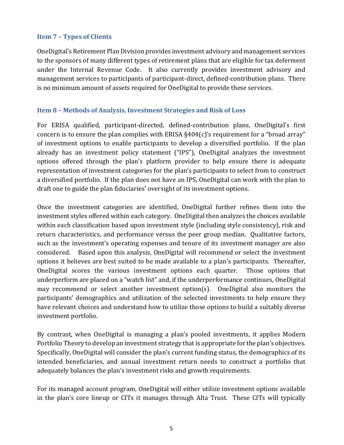# <span id="page-8-0"></span>**Item 7 – Types of Clients**

OneDigital's Retirement Plan Division provides investment advisory and management services to the sponsors of many different types of retirement plans that are eligible for tax deferment under the Internal Revenue Code. It also currently provides investment advisory and management services to participants of participant-direct, defined-contribution plans. There is no minimum amount of assets required for OneDigital to provide these services.

# <span id="page-8-1"></span>**Item 8 – Methods of Analysis, Investment Strategies and Risk of Loss**

For ERISA qualified, participant-directed, defined-contribution plans, OneDigital's first concern is to ensure the plan complies with ERISA §404(c)'s requirement for a "broad array" of investment options to enable participants to develop a diversified portfolio. If the plan already has an investment policy statement ("IPS"), OneDigital analyzes the investment options offered through the plan's platform provider to help ensure there is adequate representation of investment categories for the plan's participants to select from to construct a diversified portfolio. If the plan does not have an IPS, OneDigital can work with the plan to draft one to guide the plan fiduciaries' oversight of its investment options.

Once the investment categories are identified, OneDigital further refines them into the investment styles offered within each category. OneDigital then analyzes the choices available within each classification based upon investment style (including style consistency), risk and return characteristics, and performance versus the peer group median. Qualitative factors, such as the investment's operating expenses and tenure of its investment manager are also considered. Based upon this analysis, OneDigital will recommend or select the investment options it believes are best suited to be made available to a plan's participants. Thereafter, OneDigital scores the various investment options each quarter. Those options that underperform are placed on a "watch list" and, if the underperformance continues, OneDigital may recommend or select another investment option(s). OneDigital also monitors the participants' demographics and utilization of the selected investments to help ensure they have relevant choices and understand how to utilize those options to build a suitably diverse investment portfolio.

By contrast, when OneDigital is managing a plan's pooled investments, it applies Modern Portfolio Theory to develop an investment strategy that is appropriate for the plan's objectives. Specifically, OneDigital will consider the plan's current funding status, the demographics of its intended beneficiaries, and annual investment return needs to construct a portfolio that adequately balances the plan's investment risks and growth requirements.

For its managed account program, OneDigital will either utilize investment options available in the plan's core lineup or CITs it manages through Alta Trust. These CITs will typically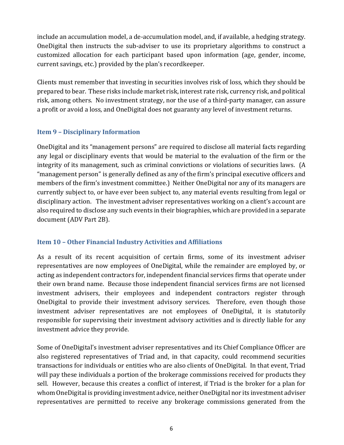include an accumulation model, a de-accumulation model, and, if available, a hedging strategy. OneDigital then instructs the sub-adviser to use its proprietary algorithms to construct a customized allocation for each participant based upon information (age, gender, income, current savings, etc.) provided by the plan's recordkeeper.

Clients must remember that investing in securities involves risk of loss, which they should be prepared to bear. These risks include market risk, interest rate risk, currency risk, and political risk, among others. No investment strategy, nor the use of a third-party manager, can assure a profit or avoid a loss, and OneDigital does not guaranty any level of investment returns.

# <span id="page-9-0"></span>**Item 9 – Disciplinary Information**

OneDigital and its "management persons" are required to disclose all material facts regarding any legal or disciplinary events that would be material to the evaluation of the firm or the integrity of its management, such as criminal convictions or violations of securities laws. (A "management person" is generally defined as any of the firm's principal executive officers and members of the firm's investment committee.) Neither OneDigital nor any of its managers are currently subject to, or have ever been subject to, any material events resulting from legal or disciplinary action. The investment adviser representatives working on a client's account are also required to disclose any such events in their biographies, which are provided in a separate document (ADV Part 2B).

# <span id="page-9-1"></span>**Item 10 – Other Financial Industry Activities and Affiliations**

As a result of its recent acquisition of certain firms, some of its investment adviser representatives are now employees of OneDigital, while the remainder are employed by, or acting as independent contractors for, independent financial services firms that operate under their own brand name. Because those independent financial services firms are not licensed investment advisers, their employees and independent contractors register through OneDigital to provide their investment advisory services. Therefore, even though those investment adviser representatives are not employees of OneDigital, it is statutorily responsible for supervising their investment advisory activities and is directly liable for any investment advice they provide.

Some of OneDigital's investment adviser representatives and its Chief Compliance Officer are also registered representatives of Triad and, in that capacity, could recommend securities transactions for individuals or entities who are also clients of OneDigital. In that event, Triad will pay these individuals a portion of the brokerage commissions received for products they sell. However, because this creates a conflict of interest, if Triad is the broker for a plan for whom OneDigital is providing investment advice, neither OneDigital nor its investment adviser representatives are permitted to receive any brokerage commissions generated from the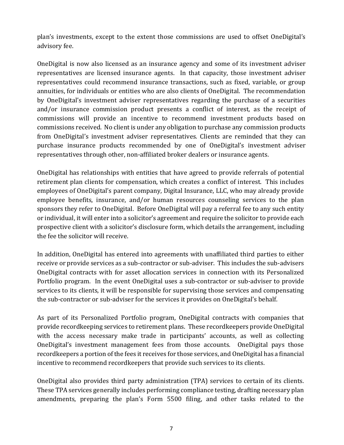plan's investments, except to the extent those commissions are used to offset OneDigital's advisory fee.

OneDigital is now also licensed as an insurance agency and some of its investment adviser representatives are licensed insurance agents. In that capacity, those investment adviser representatives could recommend insurance transactions, such as fixed, variable, or group annuities, for individuals or entities who are also clients of OneDigital. The recommendation by OneDigital's investment adviser representatives regarding the purchase of a securities and/or insurance commission product presents a conflict of interest, as the receipt of commissions will provide an incentive to recommend investment products based on commissions received. No client is under any obligation to purchase any commission products from OneDigital's investment adviser representatives. Clients are reminded that they can purchase insurance products recommended by one of OneDigital's investment adviser representatives through other, non-affiliated broker dealers or insurance agents.

OneDigital has relationships with entities that have agreed to provide referrals of potential retirement plan clients for compensation, which creates a conflict of interest. This includes employees of OneDigital's parent company, Digital Insurance, LLC, who may already provide employee benefits, insurance, and/or human resources counseling services to the plan sponsors they refer to OneDigital. Before OneDigital will pay a referral fee to any such entity or individual, it will enter into a solicitor's agreement and require the solicitor to provide each prospective client with a solicitor's disclosure form, which details the arrangement, including the fee the solicitor will receive.

In addition, OneDigital has entered into agreements with unaffiliated third parties to either receive or provide services as a sub-contractor or sub-adviser. This includes the sub-advisers OneDigital contracts with for asset allocation services in connection with its Personalized Portfolio program. In the event OneDigital uses a sub-contractor or sub-adviser to provide services to its clients, it will be responsible for supervising those services and compensating the sub-contractor or sub-adviser for the services it provides on OneDigital's behalf.

As part of its Personalized Portfolio program, OneDigital contracts with companies that provide recordkeeping services to retirement plans. These recordkeepers provide OneDigital with the access necessary make trade in participants' accounts, as well as collecting OneDigital's investment management fees from those accounts. OneDigital pays those recordkeepers a portion of the fees it receives for those services, and OneDigital has a financial incentive to recommend recordkeepers that provide such services to its clients.

OneDigital also provides third party administration (TPA) services to certain of its clients. These TPA services generally includes performing compliance testing, drafting necessary plan amendments, preparing the plan's Form 5500 filing, and other tasks related to the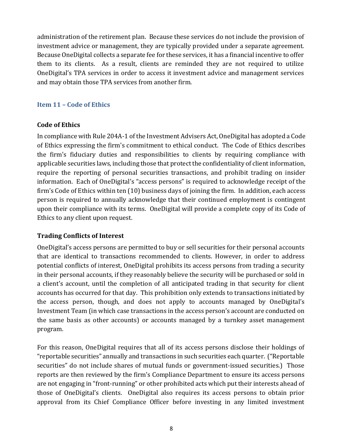administration of the retirement plan. Because these services do not include the provision of investment advice or management, they are typically provided under a separate agreement. Because OneDigital collects a separate fee for these services, it has a financial incentive to offer them to its clients. As a result, clients are reminded they are not required to utilize OneDigital's TPA services in order to access it investment advice and management services and may obtain those TPA services from another firm.

# <span id="page-11-0"></span>**Item 11 – Code of Ethics**

# **Code of Ethics**

In compliance with Rule 204A-1 of the Investment Advisers Act, OneDigital has adopted a Code of Ethics expressing the firm's commitment to ethical conduct. The Code of Ethics describes the firm's fiduciary duties and responsibilities to clients by requiring compliance with applicable securities laws, including those that protect the confidentiality of client information, require the reporting of personal securities transactions, and prohibit trading on insider information. Each of OneDigital's "access persons" is required to acknowledge receipt of the firm's Code of Ethics within ten (10) business days of joining the firm. In addition, each access person is required to annually acknowledge that their continued employment is contingent upon their compliance with its terms. OneDigital will provide a complete copy of its Code of Ethics to any client upon request.

# **Trading Conflicts of Interest**

OneDigital's access persons are permitted to buy or sell securities for their personal accounts that are identical to transactions recommended to clients. However, in order to address potential conflicts of interest, OneDigital prohibits its access persons from trading a security in their personal accounts, if they reasonably believe the security will be purchased or sold in a client's account, until the completion of all anticipated trading in that security for client accounts has occurred for that day. This prohibition only extends to transactions initiated by the access person, though, and does not apply to accounts managed by OneDigital's Investment Team (in which case transactions in the access person's account are conducted on the same basis as other accounts) or accounts managed by a turnkey asset management program.

For this reason, OneDigital requires that all of its access persons disclose their holdings of "reportable securities" annually and transactions in such securities each quarter. ("Reportable securities" do not include shares of mutual funds or government-issued securities.) Those reports are then reviewed by the firm's Compliance Department to ensure its access persons are not engaging in "front-running" or other prohibited acts which put their interests ahead of those of OneDigital's clients. OneDigital also requires its access persons to obtain prior approval from its Chief Compliance Officer before investing in any limited investment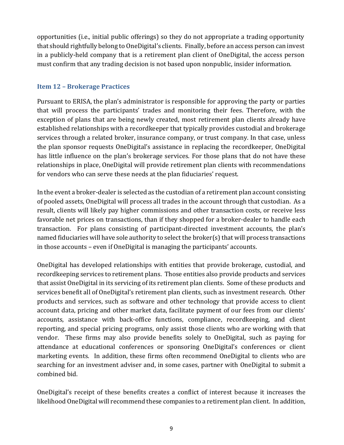opportunities (i.e., initial public offerings) so they do not appropriate a trading opportunity that should rightfully belong to OneDigital's clients. Finally, before an access person can invest in a publicly-held company that is a retirement plan client of OneDigital, the access person must confirm that any trading decision is not based upon nonpublic, insider information.

# <span id="page-12-0"></span>**Item 12 – Brokerage Practices**

Pursuant to ERISA, the plan's administrator is responsible for approving the party or parties that will process the participants' trades and monitoring their fees. Therefore, with the exception of plans that are being newly created, most retirement plan clients already have established relationships with a recordkeeper that typically provides custodial and brokerage services through a related broker, insurance company, or trust company. In that case, unless the plan sponsor requests OneDigital's assistance in replacing the recordkeeper, OneDigital has little influence on the plan's brokerage services. For those plans that do not have these relationships in place, OneDigital will provide retirement plan clients with recommendations for vendors who can serve these needs at the plan fiduciaries' request.

In the event a broker-dealer is selected as the custodian of a retirement plan account consisting of pooled assets, OneDigital will process all trades in the account through that custodian. As a result, clients will likely pay higher commissions and other transaction costs, or receive less favorable net prices on transactions, than if they shopped for a broker-dealer to handle each transaction. For plans consisting of participant-directed investment accounts, the plan's named fiduciaries will have sole authority to select the broker(s) that will process transactions in those accounts – even if OneDigital is managing the participants' accounts.

OneDigital has developed relationships with entities that provide brokerage, custodial, and recordkeeping services to retirement plans. Those entities also provide products and services that assist OneDigital in its servicing of its retirement plan clients. Some of these products and services benefit all of OneDigital's retirement plan clients, such as investment research. Other products and services, such as software and other technology that provide access to client account data, pricing and other market data, facilitate payment of our fees from our clients' accounts, assistance with back‐office functions, compliance, recordkeeping, and client reporting, and special pricing programs, only assist those clients who are working with that vendor. These firms may also provide benefits solely to OneDigital, such as paying for attendance at educational conferences or sponsoring OneDigital's conferences or client marketing events. In addition, these firms often recommend OneDigital to clients who are searching for an investment adviser and, in some cases, partner with OneDigital to submit a combined bid.

OneDigital's receipt of these benefits creates a conflict of interest because it increases the likelihood OneDigital will recommend these companies to a retirement plan client. In addition,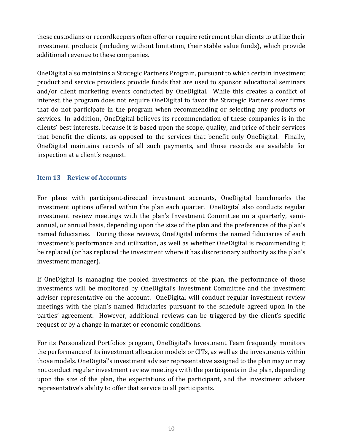these custodians or recordkeepers often offer or require retirement plan clients to utilize their investment products (including without limitation, their stable value funds), which provide additional revenue to these companies.

OneDigital also maintains a Strategic Partners Program, pursuant to which certain investment product and service providers provide funds that are used to sponsor educational seminars and/or client marketing events conducted by OneDigital. While this creates a conflict of interest, the program does not require OneDigital to favor the Strategic Partners over firms that do not participate in the program when recommending or selecting any products or services. In addition, OneDigital believes its recommendation of these companies is in the clients' best interests, because it is based upon the scope, quality, and price of their services that benefit the clients, as opposed to the services that benefit only OneDigital. Finally, OneDigital maintains records of all such payments, and those records are available for inspection at a client's request.

# <span id="page-13-0"></span>**Item 13 – Review of Accounts**

For plans with participant-directed investment accounts, OneDigital benchmarks the investment options offered within the plan each quarter. OneDigital also conducts regular investment review meetings with the plan's Investment Committee on a quarterly, semiannual, or annual basis, depending upon the size of the plan and the preferences of the plan's named fiduciaries. During those reviews, OneDigital informs the named fiduciaries of each investment's performance and utilization, as well as whether OneDigital is recommending it be replaced (or has replaced the investment where it has discretionary authority as the plan's investment manager).

If OneDigital is managing the pooled investments of the plan, the performance of those investments will be monitored by OneDigital's Investment Committee and the investment adviser representative on the account. OneDigital will conduct regular investment review meetings with the plan's named fiduciaries pursuant to the schedule agreed upon in the parties' agreement. However, additional reviews can be triggered by the client's specific request or by a change in market or economic conditions.

For its Personalized Portfolios program, OneDigital's Investment Team frequently monitors the performance of its investment allocation models or CITs, as well as the investments within those models. OneDigital's investment adviser representative assigned to the plan may or may not conduct regular investment review meetings with the participants in the plan, depending upon the size of the plan, the expectations of the participant, and the investment adviser representative's ability to offer that service to all participants.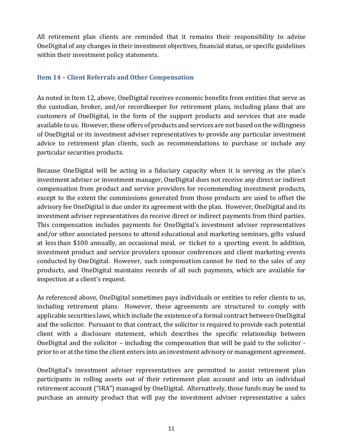All retirement plan clients are reminded that it remains their responsibility to advise OneDigital of any changes in their investment objectives, financial status, or specific guidelines within their investment policy statements.

# <span id="page-14-0"></span>**Item 14 – Client Referrals and Other Compensation**

As noted in Item 12, above, OneDigital receives economic benefits from entities that serve as the custodian, broker, and/or recordkeeper for retirement plans, including plans that are customers of OneDigital, in the form of the support products and services that are made available to us. However, these offers of products and services are not based on the willingness of OneDigital or its investment adviser representatives to provide any particular investment advice to retirement plan clients, such as recommendations to purchase or include any particular securities products.

Because OneDigital will be acting in a fiduciary capacity when it is serving as the plan's investment adviser or investment manager, OneDigital does not receive any direct or indirect compensation from product and service providers for recommending investment products, except to the extent the commissions generated from those products are used to offset the advisory fee OneDigital is due under its agreement with the plan. However, OneDigital and its investment adviser representatives do receive direct or indirect payments from third parties. This compensation includes payments for OneDigital's investment adviser representatives and/or other associated persons to attend educational and marketing seminars, gifts valued at less than \$100 annually, an occasional meal, or ticket to a sporting event. In addition, investment product and service providers sponsor conferences and client marketing events conducted by OneDigital. However, such compensation cannot be tied to the sales of any products, and OneDigital maintains records of all such payments, which are available for inspection at a client's request.

As referenced above, OneDigital sometimes pays individuals or entities to refer clients to us, including retirement plans. However, these agreements are structured to comply with applicable securities laws, which include the existence of a formal contract between OneDigital and the solicitor. Pursuant to that contract, the solicitor is required to provide each potential client with a disclosure statement, which describes the specific relationship between OneDigital and the solicitor – including the compensation that will be paid to the solicitor prior to or at the time the client enters into an investment advisory or management agreement.

OneDigital's investment adviser representatives are permitted to assist retirement plan participants in rolling assets out of their retirement plan account and into an individual retirement account ("IRA") managed by OneDigital. Alternatively, those funds may be used to purchase an annuity product that will pay the investment adviser representative a sales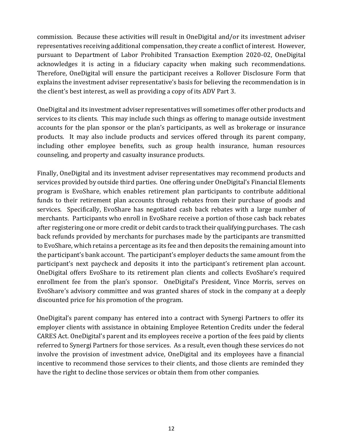commission. Because these activities will result in OneDigital and/or its investment adviser representatives receiving additional compensation, they create a conflict of interest. However, pursuant to Department of Labor Prohibited Transaction Exemption 2020-02, OneDigital acknowledges it is acting in a fiduciary capacity when making such recommendations. Therefore, OneDigital will ensure the participant receives a Rollover Disclosure Form that explains the investment adviser representative's basis for believing the recommendation is in the client's best interest, as well as providing a copy of its ADV Part 3.

OneDigital and its investment adviser representatives will sometimes offer other products and services to its clients. This may include such things as offering to manage outside investment accounts for the plan sponsor or the plan's participants, as well as brokerage or insurance products. It may also include products and services offered through its parent company, including other employee benefits, such as group health insurance, human resources counseling, and property and casualty insurance products.

Finally, OneDigital and its investment adviser representatives may recommend products and services provided by outside third parties. One offering under OneDigital's Financial Elements program is EvoShare, which enables retirement plan participants to contribute additional funds to their retirement plan accounts through rebates from their purchase of goods and services. Specifically, EvoShare has negotiated cash back rebates with a large number of merchants. Participants who enroll in EvoShare receive a portion of those cash back rebates after registering one or more credit or debit cards to track their qualifying purchases. The cash back refunds provided by merchants for purchases made by the participants are transmitted to EvoShare, which retains a percentage as its fee and then deposits the remaining amount into the participant's bank account. The participant's employer deducts the same amount from the participant's next paycheck and deposits it into the participant's retirement plan account. OneDigital offers EvoShare to its retirement plan clients and collects EvoShare's required enrollment fee from the plan's sponsor. OneDigital's President, Vince Morris, serves on EvoShare's advisory committee and was granted shares of stock in the company at a deeply discounted price for his promotion of the program.

OneDigital's parent company has entered into a contract with Synergi Partners to offer its employer clients with assistance in obtaining Employee Retention Credits under the federal CARES Act. OneDigital's parent and its employees receive a portion of the fees paid by clients referred to Synergi Partners for those services. As a result, even though these services do not involve the provision of investment advice, OneDigital and its employees have a financial incentive to recommend those services to their clients, and those clients are reminded they have the right to decline those services or obtain them from other companies.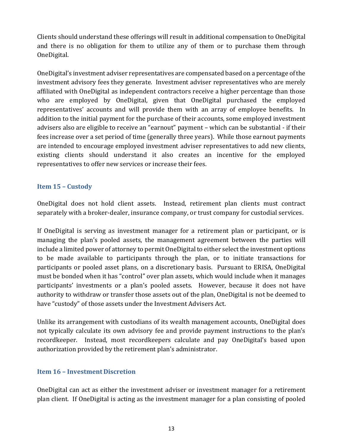Clients should understand these offerings will result in additional compensation to OneDigital and there is no obligation for them to utilize any of them or to purchase them through OneDigital.

OneDigital's investment adviser representatives are compensated based on a percentage of the investment advisory fees they generate. Investment adviser representatives who are merely affiliated with OneDigital as independent contractors receive a higher percentage than those who are employed by OneDigital, given that OneDigital purchased the employed representatives' accounts and will provide them with an array of employee benefits. In addition to the initial payment for the purchase of their accounts, some employed investment advisers also are eligible to receive an "earnout" payment – which can be substantial - if their fees increase over a set period of time (generally three years). While those earnout payments are intended to encourage employed investment adviser representatives to add new clients, existing clients should understand it also creates an incentive for the employed representatives to offer new services or increase their fees.

# <span id="page-16-0"></span>**Item 15 – Custody**

OneDigital does not hold client assets. Instead, retirement plan clients must contract separately with a broker-dealer, insurance company, or trust company for custodial services.

If OneDigital is serving as investment manager for a retirement plan or participant, or is managing the plan's pooled assets, the management agreement between the parties will include a limited power of attorney to permit OneDigital to either select the investment options to be made available to participants through the plan, or to initiate transactions for participants or pooled asset plans, on a discretionary basis. Pursuant to ERISA, OneDigital must be bonded when it has "control" over plan assets, which would include when it manages participants' investments or a plan's pooled assets. However, because it does not have authority to withdraw or transfer those assets out of the plan, OneDigital is not be deemed to have "custody" of those assets under the Investment Advisers Act.

Unlike its arrangement with custodians of its wealth management accounts, OneDigital does not typically calculate its own advisory fee and provide payment instructions to the plan's recordkeeper. Instead, most recordkeepers calculate and pay OneDigital's based upon authorization provided by the retirement plan's administrator.

## <span id="page-16-1"></span>**Item 16 – Investment Discretion**

OneDigital can act as either the investment adviser or investment manager for a retirement plan client. If OneDigital is acting as the investment manager for a plan consisting of pooled